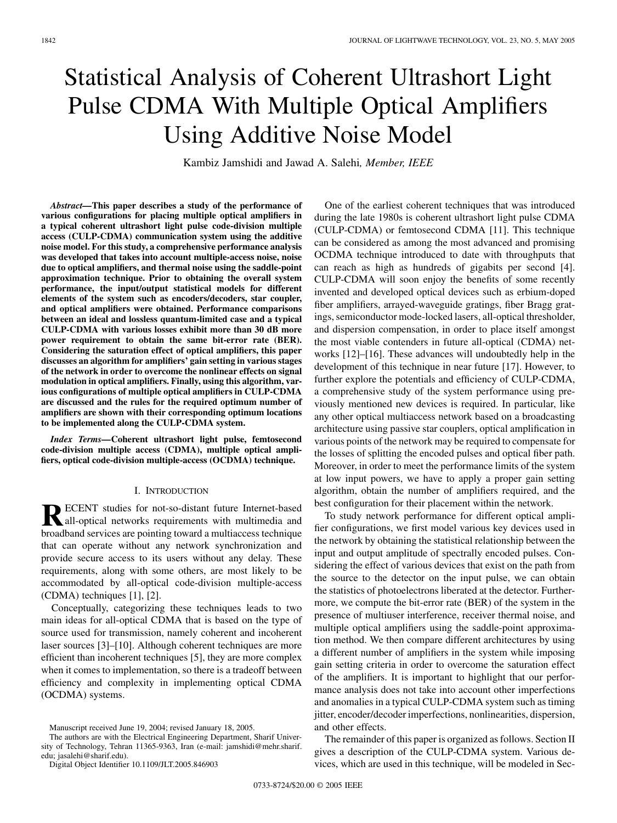# Statistical Analysis of Coherent Ultrashort Light Pulse CDMA With Multiple Optical Amplifiers Using Additive Noise Model

Kambiz Jamshidi and Jawad A. Salehi*, Member, IEEE*

*Abstract—***This paper describes a study of the performance of various configurations for placing multiple optical amplifiers in a typical coherent ultrashort light pulse code-division multiple access (CULP-CDMA) communication system using the additive noise model. For this study, a comprehensive performance analysis was developed that takes into account multiple-access noise, noise due to optical amplifiers, and thermal noise using the saddle-point approximation technique. Prior to obtaining the overall system performance, the input/output statistical models for different elements of the system such as encoders/decoders, star coupler, and optical amplifiers were obtained. Performance comparisons between an ideal and lossless quantum-limited case and a typical CULP-CDMA with various losses exhibit more than 30 dB more power requirement to obtain the same bit-error rate (BER). Considering the saturation effect of optical amplifiers, this paper discusses an algorithm for amplifiers' gain setting in various stages of the network in order to overcome the nonlinear effects on signal modulation in optical amplifiers. Finally, using this algorithm, various configurations of multiple optical amplifiers in CULP-CDMA are discussed and the rules for the required optimum number of amplifiers are shown with their corresponding optimum locations to be implemented along the CULP-CDMA system.**

*Index Terms—***Coherent ultrashort light pulse, femtosecond code-division multiple access (CDMA), multiple optical amplifiers, optical code-division multiple-access (OCDMA) technique.**

## I. INTRODUCTION

**RECENT** studies for not-so-distant future Internet-based<br>all-optical networks requirements with multimedia and<br>headband carriers are neinting toward a multigages toolnique broadband services are pointing toward a multiaccess technique that can operate without any network synchronization and provide secure access to its users without any delay. These requirements, along with some others, are most likely to be accommodated by all-optical code-division multiple-access (CDMA) techniques [[1\]](#page-9-0), [[2\]](#page-9-0).

Conceptually, categorizing these techniques leads to two main ideas for all-optical CDMA that is based on the type of source used for transmission, namely coherent and incoherent laser sources [\[3](#page-9-0)]–[[10\]](#page-9-0). Although coherent techniques are more efficient than incoherent techniques [[5\]](#page-9-0), they are more complex when it comes to implementation, so there is a tradeoff between efficiency and complexity in implementing optical CDMA (OCDMA) systems.

Digital Object Identifier 10.1109/JLT.2005.846903

One of the earliest coherent techniques that was introduced during the late 1980s is coherent ultrashort light pulse CDMA (CULP-CDMA) or femtosecond CDMA [\[11](#page-9-0)]. This technique can be considered as among the most advanced and promising OCDMA technique introduced to date with throughputs that can reach as high as hundreds of gigabits per second [[4\]](#page-9-0). CULP-CDMA will soon enjoy the benefits of some recently invented and developed optical devices such as erbium-doped fiber amplifiers, arrayed-waveguide gratings, fiber Bragg gratings, semiconductor mode-locked lasers, all-optical thresholder, and dispersion compensation, in order to place itself amongst the most viable contenders in future all-optical (CDMA) networks [\[12](#page-9-0)]–[[16\]](#page-9-0). These advances will undoubtedly help in the development of this technique in near future [[17\]](#page-9-0). However, to further explore the potentials and efficiency of CULP-CDMA, a comprehensive study of the system performance using previously mentioned new devices is required. In particular, like any other optical multiaccess network based on a broadcasting architecture using passive star couplers, optical amplification in various points of the network may be required to compensate for the losses of splitting the encoded pulses and optical fiber path. Moreover, in order to meet the performance limits of the system at low input powers, we have to apply a proper gain setting algorithm, obtain the number of amplifiers required, and the best configuration for their placement within the network.

To study network performance for different optical amplifier configurations, we first model various key devices used in the network by obtaining the statistical relationship between the input and output amplitude of spectrally encoded pulses. Considering the effect of various devices that exist on the path from the source to the detector on the input pulse, we can obtain the statistics of photoelectrons liberated at the detector. Furthermore, we compute the bit-error rate (BER) of the system in the presence of multiuser interference, receiver thermal noise, and multiple optical amplifiers using the saddle-point approximation method. We then compare different architectures by using a different number of amplifiers in the system while imposing gain setting criteria in order to overcome the saturation effect of the amplifiers. It is important to highlight that our performance analysis does not take into account other imperfections and anomalies in a typical CULP-CDMA system such as timing jitter, encoder/decoder imperfections, nonlinearities, dispersion, and other effects.

The remainder of this paper is organized as follows. Section II gives a description of the CULP-CDMA system. Various devices, which are used in this technique, will be modeled in Sec-

Manuscript received June 19, 2004; revised January 18, 2005.

The authors are with the Electrical Engineering Department, Sharif University of Technology, Tehran 11365-9363, Iran (e-mail: jamshidi@mehr.sharif. edu; jasalehi@sharif.edu).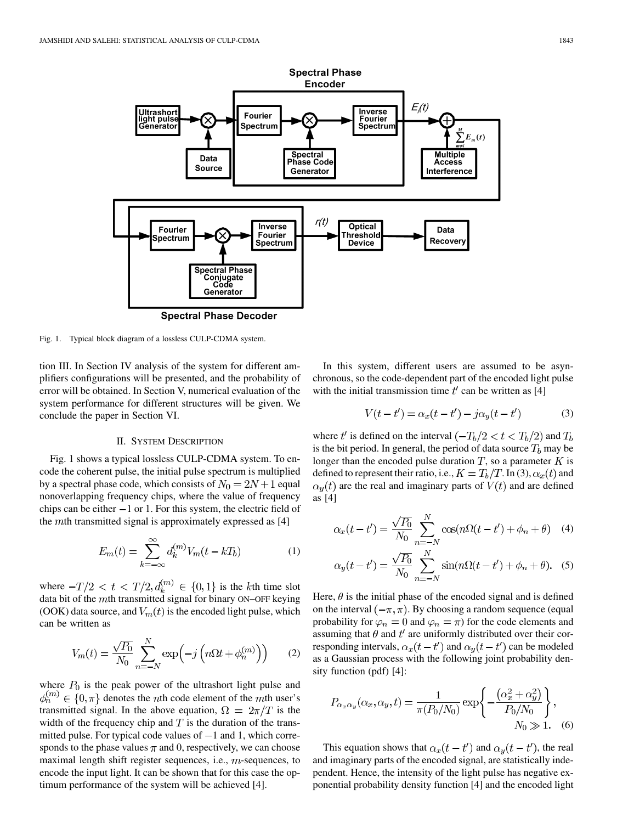

Fig. 1. Typical block diagram of a lossless CULP-CDMA system.

tion III. In Section IV analysis of the system for different amplifiers configurations will be presented, and the probability of error will be obtained. In Section V, numerical evaluation of the system performance for different structures will be given. We conclude the paper in Section VI.

#### II. SYSTEM DESCRIPTION

Fig. 1 shows a typical lossless CULP-CDMA system. To encode the coherent pulse, the initial pulse spectrum is multiplied by a spectral phase code, which consists of  $N_0 = 2N + 1$  equal nonoverlapping frequency chips, where the value of frequency chips can be either  $-1$  or 1. For this system, the electric field of the  $m$ th transmitted signal is approximately expressed as [[4\]](#page-9-0)

$$
E_m(t) = \sum_{k=-\infty}^{\infty} d_k^{(m)} V_m(t - kT_b)
$$
 (1)

where  $-T/2 < t < T/2, d_k^{(m)} \in \{0,1\}$  is the *k*th time slot data bit of the  $m$ th transmitted signal for binary ON–OFF keying (OOK) data source, and  $V_m(t)$  is the encoded light pulse, which can be written as

$$
V_m(t) = \frac{\sqrt{P_0}}{N_0} \sum_{n=-N}^{N} \exp\left(-j\left(n\Omega t + \phi_n^{(m)}\right)\right) \tag{2}
$$

where  $P_0$  is the peak power of the ultrashort light pulse and  $\phi_n^{(m)} \in \{0, \pi\}$  denotes the *n*th code element of the *m*th user's transmitted signal. In the above equation,  $\Omega = 2\pi/T$  is the width of the frequency chip and  $T$  is the duration of the transmitted pulse. For typical code values of  $-1$  and 1, which corresponds to the phase values  $\pi$  and 0, respectively, we can choose maximal length shift register sequences, i.e.,  $m$ -sequences, to encode the input light. It can be shown that for this case the optimum performance of the system will be achieved [\[4](#page-9-0)].

In this system, different users are assumed to be asynchronous, so the code-dependent part of the encoded light pulse with the initial transmission time  $t'$  can be written as [\[4](#page-9-0)]

$$
V(t - t') = \alpha_x(t - t') - j\alpha_y(t - t')
$$
 (3)

where t' is defined on the interval  $(-T_b/2 < t < T_b/2)$  and  $T_b$ is the bit period. In general, the period of data source  $T_b$  may be longer than the encoded pulse duration  $T$ , so a parameter  $K$  is defined to represent their ratio, i.e.,  $K = T_b/T$ . In (3),  $\alpha_x(t)$  and  $\alpha_{\nu}(t)$  are the real and imaginary parts of  $V(t)$  and are defined as [[4\]](#page-9-0)

$$
\alpha_x(t - t') = \frac{\sqrt{P_0}}{N_0} \sum_{n = -N}^{N} \cos(n\Omega(t - t') + \phi_n + \theta)
$$
 (4)

$$
\alpha_y(t - t') = \frac{\sqrt{P_0}}{N_0} \sum_{n = -N}^{N} \sin(n\Omega(t - t') + \phi_n + \theta). \tag{5}
$$

Here,  $\theta$  is the initial phase of the encoded signal and is defined on the interval  $(-\pi, \pi)$ . By choosing a random sequence (equal probability for  $\varphi_n = 0$  and  $\varphi_n = \pi$ ) for the code elements and assuming that  $\theta$  and  $t'$  are uniformly distributed over their corresponding intervals,  $\alpha_x(t-t')$  and  $\alpha_y(t-t')$  can be modeled as a Gaussian process with the following joint probability density function (pdf) [[4\]](#page-9-0):

$$
P_{\alpha_x \alpha_y}(\alpha_x, \alpha_y, t) = \frac{1}{\pi (P_0/N_0)} \exp \left\{ -\frac{(\alpha_x^2 + \alpha_y^2)}{P_0/N_0} \right\},
$$
  
  $N_0 \gg 1.$  (6)

This equation shows that  $\alpha_x(t - t')$  and  $\alpha_y(t - t')$ , the real and imaginary parts of the encoded signal, are statistically independent. Hence, the intensity of the light pulse has negative exponential probability density function [[4\]](#page-9-0) and the encoded light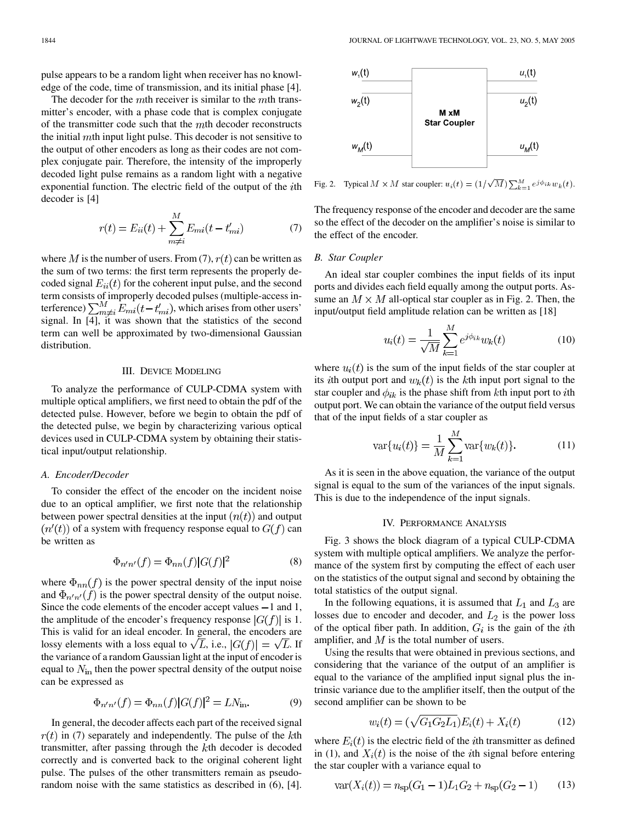pulse appears to be a random light when receiver has no knowledge of the code, time of transmission, and its initial phase [[4\]](#page-9-0).

The decoder for the  $m$ th receiver is similar to the  $m$ th transmitter's encoder, with a phase code that is complex conjugate of the transmitter code such that the  $m$ th decoder reconstructs the initial  $m$ th input light pulse. This decoder is not sensitive to the output of other encoders as long as their codes are not complex conjugate pair. Therefore, the intensity of the improperly decoded light pulse remains as a random light with a negative exponential function. The electric field of the output of the  $i$ th decoder is [\[4\]](#page-9-0)

$$
r(t) = E_{ii}(t) + \sum_{m \neq i}^{M} E_{mi}(t - t'_{mi})
$$
 (7)

where M is the number of users. From (7),  $r(t)$  can be written as the sum of two terms: the first term represents the properly decoded signal  $E_{ii}(t)$  for the coherent input pulse, and the second term consists of improperly decoded pulses (multiple-access interference)  $\sum_{m\neq i}^{M} E_{mi}(t-t'_{mi})$ , which arises from other users' signal. In [[4\]](#page-9-0), it was shown that the statistics of the second term can well be approximated by two-dimensional Gaussian distribution.

## III. DEVICE MODELING

To analyze the performance of CULP-CDMA system with multiple optical amplifiers, we first need to obtain the pdf of the detected pulse. However, before we begin to obtain the pdf of the detected pulse, we begin by characterizing various optical devices used in CULP-CDMA system by obtaining their statistical input/output relationship.

## *A. Encoder/Decoder*

To consider the effect of the encoder on the incident noise due to an optical amplifier, we first note that the relationship between power spectral densities at the input  $(n(t))$  and output  $(n'(t))$  of a system with frequency response equal to  $G(f)$  can be written as

$$
\Phi_{n'n'}(f) = \Phi_{nn}(f)|G(f)|^2\tag{8}
$$

where  $\Phi_{nn}(f)$  is the power spectral density of the input noise and  $\Phi_{n'n'}(f)$  is the power spectral density of the output noise. Since the code elements of the encoder accept values  $-1$  and 1, the amplitude of the encoder's frequency response  $|G(f)|$  is 1. This is valid for an ideal encoder. In general, the encoders are lossy elements with a loss equal to  $\sqrt{L}$ , i.e.,  $|G(f)| = \sqrt{L}$ . If the variance of a random Gaussian light at the input of encoder is equal to  $N_{\text{in}}$  then the power spectral density of the output noise can be expressed as

$$
\Phi_{n'n'}(f) = \Phi_{nn}(f)|G(f)|^2 = LN_{\text{in}}.\tag{9}
$$

In general, the decoder affects each part of the received signal  $r(t)$  in (7) separately and independently. The pulse of the kth transmitter, after passing through the  $k$ th decoder is decoded correctly and is converted back to the original coherent light pulse. The pulses of the other transmitters remain as pseudorandom noise with the same statistics as described in (6), [[4\]](#page-9-0).



Fig. 2. Typical  $M \times M$  star coupler:  $u_i(t) = (1/\sqrt{M}) \sum_{k=1}^{M} e^{j\phi_{ik}} w_k(t)$ .

The frequency response of the encoder and decoder are the same so the effect of the decoder on the amplifier's noise is similar to the effect of the encoder.

## *B. Star Coupler*

An ideal star coupler combines the input fields of its input ports and divides each field equally among the output ports. Assume an  $M \times M$  all-optical star coupler as in Fig. 2. Then, the input/output field amplitude relation can be written as [[18\]](#page-9-0)

$$
u_i(t) = \frac{1}{\sqrt{M}} \sum_{k=1}^{M} e^{j\phi_{ik}} w_k(t)
$$
 (10)

where  $u_i(t)$  is the sum of the input fields of the star coupler at its *i*th output port and  $w_k(t)$  is the kth input port signal to the star coupler and  $\phi_{ik}$  is the phase shift from kth input port to *i*th output port. We can obtain the variance of the output field versus that of the input fields of a star coupler as

$$
\text{var}\{u_i(t)\} = \frac{1}{M} \sum_{k=1}^{M} \text{var}\{w_k(t)\}.
$$
 (11)

As it is seen in the above equation, the variance of the output signal is equal to the sum of the variances of the input signals. This is due to the independence of the input signals.

#### IV. PERFORMANCE ANALYSIS

Fig. 3 shows the block diagram of a typical CULP-CDMA system with multiple optical amplifiers. We analyze the performance of the system first by computing the effect of each user on the statistics of the output signal and second by obtaining the total statistics of the output signal.

In the following equations, it is assumed that  $L_1$  and  $L_3$  are losses due to encoder and decoder, and  $L_2$  is the power loss of the optical fiber path. In addition,  $G_i$  is the gain of the *i*th amplifier, and  $M$  is the total number of users.

Using the results that were obtained in previous sections, and considering that the variance of the output of an amplifier is equal to the variance of the amplified input signal plus the intrinsic variance due to the amplifier itself, then the output of the second amplifier can be shown to be

$$
w_i(t) = (\sqrt{G_1 G_2 L_1}) E_i(t) + X_i(t)
$$
 (12)

where  $E_i(t)$  is the electric field of the *i*th transmitter as defined in (1), and  $X_i(t)$  is the noise of the *i*th signal before entering the star coupler with a variance equal to

$$
var(X_i(t)) = n_{sp}(G_1 - 1)L_1G_2 + n_{sp}(G_2 - 1)
$$
 (13)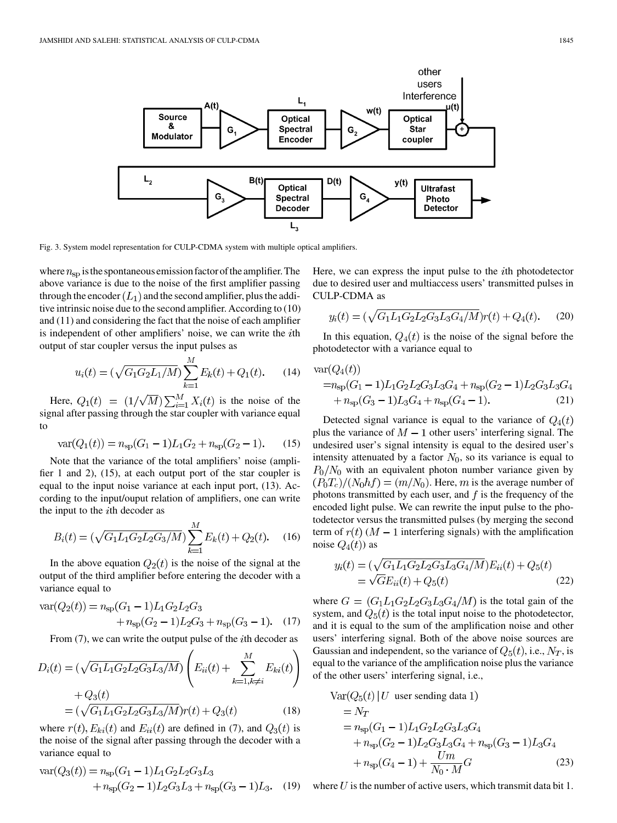

Fig. 3. System model representation for CULP-CDMA system with multiple optical amplifiers.

where  $n_{\rm sp}$  is the spontaneous emission factor of the amplifier. The above variance is due to the noise of the first amplifier passing through the encoder  $(L_1)$  and the second amplifier, plus the additive intrinsic noise due to the second amplifier. According to (10) and (11) and considering the fact that the noise of each amplifier is independent of other amplifiers' noise, we can write the *i*th output of star coupler versus the input pulses as

$$
u_i(t) = (\sqrt{G_1 G_2 L_1/M}) \sum_{k=1}^{M} E_k(t) + Q_1(t). \tag{14}
$$

Here,  $Q_1(t) = (1/\sqrt{M}) \sum_{i=1}^{M} X_i(t)$  is the noise of the signal after passing through the star coupler with variance equal to

$$
var(Q_1(t)) = n_{sp}(G_1 - 1)L_1G_2 + n_{sp}(G_2 - 1).
$$
 (15)

Note that the variance of the total amplifiers' noise (amplifier 1 and 2), (15), at each output port of the star coupler is equal to the input noise variance at each input port, (13). According to the input/ouput relation of amplifiers, one can write the input to the  $i$ th decoder as

$$
B_i(t) = (\sqrt{G_1 L_1 G_2 L_2 G_3/M}) \sum_{k=1}^{M} E_k(t) + Q_2(t).
$$
 (16)

In the above equation  $Q_2(t)$  is the noise of the signal at the output of the third amplifier before entering the decoder with a variance equal to

$$
\begin{aligned} \text{var}(Q_2(t)) &= n_{\text{sp}}(G_1 - 1)L_1 G_2 L_2 G_3 \\ &+ n_{\text{sp}}(G_2 - 1)L_2 G_3 + n_{\text{sp}}(G_3 - 1). \end{aligned} \tag{17}
$$

From  $(7)$ , we can write the output pulse of the *i*th decoder as

$$
D_i(t) = (\sqrt{G_1 L_1 G_2 L_2 G_3 L_3/M}) \left( E_{ii}(t) + \sum_{k=1, k \neq i}^{M} E_{ki}(t) \right)
$$

$$
+ Q_3(t)
$$

$$
= (\sqrt{G_1 L_1 G_2 L_2 G_3 L_3/M}) r(t) + Q_3(t) \qquad (18)
$$

where  $r(t)$ ,  $E_{ki}(t)$  and  $E_{ii}(t)$  are defined in (7), and  $Q_3(t)$  is the noise of the signal after passing through the decoder with a variance equal to

$$
\begin{aligned} \text{var}(Q_3(t)) &= n_{\text{sp}}(G_1 - 1)L_1 G_2 L_2 G_3 L_3 \\ &+ n_{\text{sp}}(G_2 - 1)L_2 G_3 L_3 + n_{\text{sp}}(G_3 - 1)L_3. \end{aligned} \tag{19}
$$

Here, we can express the input pulse to the  $i$ th photodetector due to desired user and multiaccess users' transmitted pulses in CULP-CDMA as

$$
y_i(t) = (\sqrt{G_1 L_1 G_2 L_2 G_3 L_3 G_4/M}) r(t) + Q_4(t). \tag{20}
$$

In this equation,  $Q_4(t)$  is the noise of the signal before the photodetector with a variance equal to

$$
\begin{aligned} \text{var}(Q_4(t)) \\ &= n_{\text{sp}}(G_1 - 1)L_1 G_2 L_2 G_3 L_3 G_4 + n_{\text{sp}}(G_2 - 1)L_2 G_3 L_3 G_4 \\ &+ n_{\text{sp}}(G_3 - 1)L_3 G_4 + n_{\text{sp}}(G_4 - 1). \end{aligned} \tag{21}
$$

Detected signal variance is equal to the variance of  $Q_4(t)$ plus the variance of  $M - 1$  other users' interfering signal. The undesired user's signal intensity is equal to the desired user's intensity attenuated by a factor  $N_0$ , so its variance is equal to  $P_0/N_0$  with an equivalent photon number variance given by  $(P_0T_c)/(N_0hf) = (m/N_0)$ . Here, m is the average number of photons transmitted by each user, and  $f$  is the frequency of the encoded light pulse. We can rewrite the input pulse to the photodetector versus the transmitted pulses (by merging the second term of  $r(t)$  ( $M-1$  interfering signals) with the amplification noise  $Q_4(t)$  as

$$
y_i(t) = (\sqrt{G_1 L_1 G_2 L_2 G_3 L_3 G_4 / M}) E_{ii}(t) + Q_5(t)
$$
  
=  $\sqrt{G} E_{ii}(t) + Q_5(t)$  (22)

where  $G = (G_1L_1G_2L_2G_3L_3G_4/M)$  is the total gain of the system, and  $Q_5(t)$  is the total input noise to the photodetector, and it is equal to the sum of the amplification noise and other users' interfering signal. Both of the above noise sources are Gaussian and independent, so the variance of  $Q_5(t)$ , i.e.,  $N_T$ , is equal to the variance of the amplification noise plus the variance of the other users' interfering signal, i.e.,

$$
\begin{aligned}\n\text{Var}(Q_5(t) | U \text{ user sending data 1}) \\
&= N_T \\
&= n_{\text{sp}}(G_1 - 1)L_1 G_2 L_2 G_3 L_3 G_4 \\
&+ n_{\text{sp}}(G_2 - 1)L_2 G_3 L_3 G_4 + n_{\text{sp}}(G_3 - 1)L_3 G_4 \\
&+ n_{\text{sp}}(G_4 - 1) + \frac{Um}{N_0 \cdot M} G\n\end{aligned} \tag{23}
$$

where  $U$  is the number of active users, which transmit data bit 1.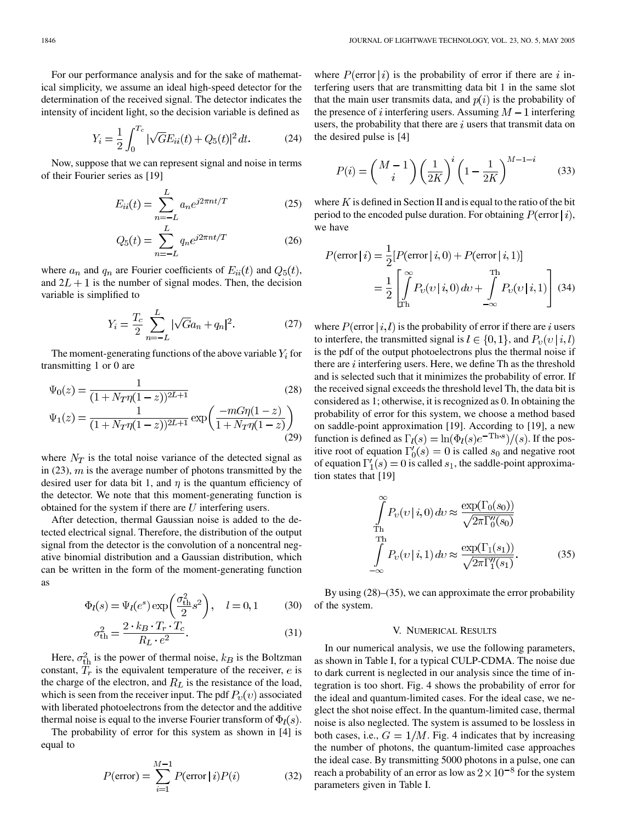For our performance analysis and for the sake of mathematical simplicity, we assume an ideal high-speed detector for the determination of the received signal. The detector indicates the intensity of incident light, so the decision variable is defined as

$$
Y_i = \frac{1}{2} \int_0^{T_c} |\sqrt{G}E_{ii}(t) + Q_5(t)|^2 dt.
$$
 (24)

Now, suppose that we can represent signal and noise in terms of their Fourier series as [[19\]](#page-9-0)

$$
E_{ii}(t) = \sum_{n=-L}^{L} a_n e^{j2\pi nt/T}
$$
 (25)

$$
Q_5(t) = \sum_{n=-L}^{L} q_n e^{j2\pi nt/T}
$$
 (26)

where  $a_n$  and  $q_n$  are Fourier coefficients of  $E_{ii}(t)$  and  $Q_5(t)$ , and  $2L + 1$  is the number of signal modes. Then, the decision variable is simplified to

$$
Y_i = \frac{T_c}{2} \sum_{n=-L}^{L} |\sqrt{G}a_n + q_n|^2.
$$
 (27)

The moment-generating functions of the above variable  $Y_i$  for transmitting 1 or 0 are

$$
\Psi_0(z) = \frac{1}{(1 + N_T \eta (1 - z))^{2L+1}} \tag{28}
$$
\n
$$
\Psi_1(z) = \frac{1}{(1 + N_T \eta (1 - z))^{2L+1}} \exp\left(\frac{-mG\eta (1 - z)}{1 + N_T \eta (1 - z)}\right) \tag{29}
$$

where  $N_T$  is the total noise variance of the detected signal as in (23),  $m$  is the average number of photons transmitted by the desired user for data bit 1, and  $\eta$  is the quantum efficiency of the detector. We note that this moment-generating function is obtained for the system if there are  $U$  interfering users.

After detection, thermal Gaussian noise is added to the detected electrical signal. Therefore, the distribution of the output signal from the detector is the convolution of a noncentral negative binomial distribution and a Gaussian distribution, which can be written in the form of the moment-generating function as

$$
\Phi_l(s) = \Psi_l(e^s) \exp\left(\frac{\sigma_{\text{th}}^2}{2} s^2\right), \quad l = 0, 1
$$
 (30)

$$
\sigma_{\text{th}}^2 = \frac{2 \cdot k_B \cdot T_r \cdot T_c}{R_L \cdot e^2}.
$$
\n(31)

Here,  $\sigma_{\text{th}}^2$  is the power of thermal noise,  $k_B$  is the Boltzman constant,  $T_r$  is the equivalent temperature of the receiver,  $e$  is the charge of the electron, and  $R_L$  is the resistance of the load, which is seen from the receiver input. The pdf  $P_v(v)$  associated with liberated photoelectrons from the detector and the additive thermal noise is equal to the inverse Fourier transform of  $\Phi_l(s)$ .

The probability of error for this system as shown in [\[4](#page-9-0)] is equal to

$$
P(\text{error}) = \sum_{i=1}^{M-1} P(\text{error} | i) P(i)
$$
 (32)

where  $P(\text{error} | i)$  is the probability of error if there are interfering users that are transmitting data bit 1 in the same slot that the main user transmits data, and  $p(i)$  is the probability of the presence of i interfering users. Assuming  $M-1$  interfering users, the probability that there are  $i$  users that transmit data on the desired pulse is [\[4](#page-9-0)]

$$
P(i) = \left(\frac{M-1}{i}\right) \left(\frac{1}{2K}\right)^i \left(1 - \frac{1}{2K}\right)^{M-1-i} \tag{33}
$$

where  $K$  is defined in Section II and is equal to the ratio of the bit period to the encoded pulse duration. For obtaining  $P(\text{error} | i)$ , we have

$$
P(\text{error} | i) = \frac{1}{2} [P(\text{error} | i, 0) + P(\text{error} | i, 1)]
$$

$$
= \frac{1}{2} \left[ \int_{\text{Th}}^{\infty} P_v(v | i, 0) \, dv + \int_{-\infty}^{\text{Th}} P_v(v | i, 1) \right] \tag{34}
$$

where  $P(\text{error} | i, l)$  is the probability of error if there are i users to interfere, the transmitted signal is  $l \in \{0, 1\}$ , and  $P_{\nu}(v \mid i, l)$ is the pdf of the output photoelectrons plus the thermal noise if there are  $i$  interfering users. Here, we define Th as the threshold and is selected such that it minimizes the probability of error. If the received signal exceeds the threshold level Th, the data bit is considered as 1; otherwise, it is recognized as 0. In obtaining the probability of error for this system, we choose a method based on saddle-point approximation [[19\]](#page-9-0). According to [[19\]](#page-9-0), a new function is defined as  $\Gamma_l(s) = \ln(\Phi_l(s)e^{-\text{Th}\cdot s})/(s)$ . If the positive root of equation  $\Gamma'_0(s) = 0$  is called  $s_0$  and negative root of equation  $\Gamma_1'(s) = 0$  is called  $s_1$ , the saddle-point approximation states that [\[19](#page-9-0)]

$$
\int_{\text{Th}}^{\infty} P_v(v|i,0) dv \approx \frac{\exp(\Gamma_0(s_0))}{\sqrt{2\pi \Gamma_0''(s_0)}}
$$
\n
$$
\int_{-\infty}^{\text{Th}} P_v(v|i,1) dv \approx \frac{\exp(\Gamma_1(s_1))}{\sqrt{2\pi \Gamma_1''(s_1)}}.
$$
\n(35)

By using (28)–(35), we can approximate the error probability of the system.

#### V. NUMERICAL RESULTS

In our numerical analysis, we use the following parameters, as shown in Table I, for a typical CULP-CDMA. The noise due to dark current is neglected in our analysis since the time of integration is too short. Fig. 4 shows the probability of error for the ideal and quantum-limited cases. For the ideal case, we neglect the shot noise effect. In the quantum-limited case, thermal noise is also neglected. The system is assumed to be lossless in both cases, i.e.,  $G = 1/M$ . Fig. 4 indicates that by increasing the number of photons, the quantum-limited case approaches the ideal case. By transmitting 5000 photons in a pulse, one can reach a probability of an error as low as  $2 \times 10^{-8}$  for the system parameters given in Table I.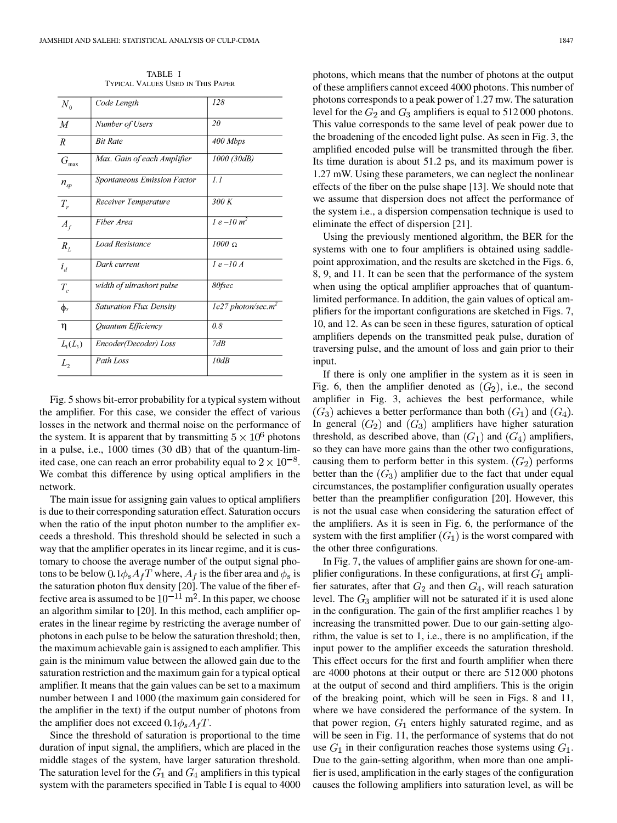TABLE I TYPICAL VALUES USED IN THIS PAPER

| $N_{\rm o}$      | Code Length                    | 128                              |
|------------------|--------------------------------|----------------------------------|
| $\overline{M}$   | Number of Users                | 20                               |
| $\boldsymbol{R}$ | <b>Bit Rate</b>                | 400 Mbps                         |
| $G_{\max}$       | Max. Gain of each Amplifier    | 1000 (30dB)                      |
| $n_{\rm sp}$     | Spontaneous Emission Factor    | 1.1                              |
| $T_{r}$          | Receiver Temperature           | 300K                             |
| $A_f$            | Fiber Area                     | $1 e^{-10 m^2}$                  |
| $R_{L}$          | Load Resistance                | $1000 \Omega$                    |
| $i_d$            | Dark current                   | $1e$ -10 A                       |
| $T_c$            | width of ultrashort pulse      | 80fsec                           |
| $\phi$ s         | <b>Saturation Flux Density</b> | $1e27$ photon/sec.m <sup>2</sup> |
| η                | Quantum Efficiency             | 0.8                              |
| $L_1(L_3)$       | Encoder(Decoder) Loss          | 7dB                              |
| L,               | Path Loss                      | 10dB                             |

Fig. 5 shows bit-error probability for a typical system without the amplifier. For this case, we consider the effect of various losses in the network and thermal noise on the performance of the system. It is apparent that by transmitting  $5 \times 10^6$  photons in a pulse, i.e., 1000 times (30 dB) that of the quantum-limited case, one can reach an error probability equal to  $2 \times 10^{-8}$ . We combat this difference by using optical amplifiers in the network.

The main issue for assigning gain values to optical amplifiers is due to their corresponding saturation effect. Saturation occurs when the ratio of the input photon number to the amplifier exceeds a threshold. This threshold should be selected in such a way that the amplifier operates in its linear regime, and it is customary to choose the average number of the output signal photons to be below  $0.1\phi_s A_f T$  where,  $A_f$  is the fiber area and  $\phi_s$  is the saturation photon flux density [[20\]](#page-9-0). The value of the fiber effective area is assumed to be  $10^{-11}$  m<sup>2</sup>. In this paper, we choose an algorithm similar to [\[20](#page-9-0)]. In this method, each amplifier operates in the linear regime by restricting the average number of photons in each pulse to be below the saturation threshold; then, the maximum achievable gain is assigned to each amplifier. This gain is the minimum value between the allowed gain due to the saturation restriction and the maximum gain for a typical optical amplifier. It means that the gain values can be set to a maximum number between 1 and 1000 (the maximum gain considered for the amplifier in the text) if the output number of photons from the amplifier does not exceed  $0.1\phi_s A_f T$ .

Since the threshold of saturation is proportional to the time duration of input signal, the amplifiers, which are placed in the middle stages of the system, have larger saturation threshold. The saturation level for the  $G_1$  and  $G_4$  amplifiers in this typical system with the parameters specified in Table I is equal to 4000

photons, which means that the number of photons at the output of these amplifiers cannot exceed 4000 photons. This number of photons corresponds to a peak power of 1.27 mw. The saturation level for the  $G_2$  and  $G_3$  amplifiers is equal to 512 000 photons. This value corresponds to the same level of peak power due to the broadening of the encoded light pulse. As seen in Fig. 3, the amplified encoded pulse will be transmitted through the fiber. Its time duration is about 51.2 ps, and its maximum power is 1.27 mW. Using these parameters, we can neglect the nonlinear effects of the fiber on the pulse shape [[13\]](#page-9-0). We should note that we assume that dispersion does not affect the performance of the system i.e., a dispersion compensation technique is used to eliminate the effect of dispersion [\[21\]](#page-9-0).

Using the previously mentioned algorithm, the BER for the systems with one to four amplifiers is obtained using saddlepoint approximation, and the results are sketched in the Figs. 6, 8, 9, and 11. It can be seen that the performance of the system when using the optical amplifier approaches that of quantumlimited performance. In addition, the gain values of optical amplifiers for the important configurations are sketched in Figs. 7, 10, and 12. As can be seen in these figures, saturation of optical amplifiers depends on the transmitted peak pulse, duration of traversing pulse, and the amount of loss and gain prior to their input.

If there is only one amplifier in the system as it is seen in Fig. 6, then the amplifier denoted as  $(G_2)$ , i.e., the second amplifier in Fig. 3, achieves the best performance, while  $(G_3)$  achieves a better performance than both  $(G_1)$  and  $(G_4)$ . In general  $(G_2)$  and  $(G_3)$  amplifiers have higher saturation threshold, as described above, than  $(G_1)$  and  $(G_4)$  amplifiers, so they can have more gains than the other two configurations, causing them to perform better in this system.  $(G_2)$  performs better than the  $(G_3)$  amplifier due to the fact that under equal circumstances, the postamplifier configuration usually operates better than the preamplifier configuration [[20\]](#page-9-0). However, this is not the usual case when considering the saturation effect of the amplifiers. As it is seen in Fig. 6, the performance of the system with the first amplifier  $(G_1)$  is the worst compared with the other three configurations.

In Fig. 7, the values of amplifier gains are shown for one-amplifier configurations. In these configurations, at first  $G_1$  amplifier saturates, after that  $G_2$  and then  $G_4$ , will reach saturation level. The  $G_3$  amplifier will not be saturated if it is used alone in the configuration. The gain of the first amplifier reaches 1 by increasing the transmitted power. Due to our gain-setting algorithm, the value is set to 1, i.e., there is no amplification, if the input power to the amplifier exceeds the saturation threshold. This effect occurs for the first and fourth amplifier when there are 4000 photons at their output or there are 512 000 photons at the output of second and third amplifiers. This is the origin of the breaking point, which will be seen in Figs. 8 and 11, where we have considered the performance of the system. In that power region,  $G_1$  enters highly saturated regime, and as will be seen in Fig. 11, the performance of systems that do not use  $G_1$  in their configuration reaches those systems using  $G_1$ . Due to the gain-setting algorithm, when more than one amplifier is used, amplification in the early stages of the configuration causes the following amplifiers into saturation level, as will be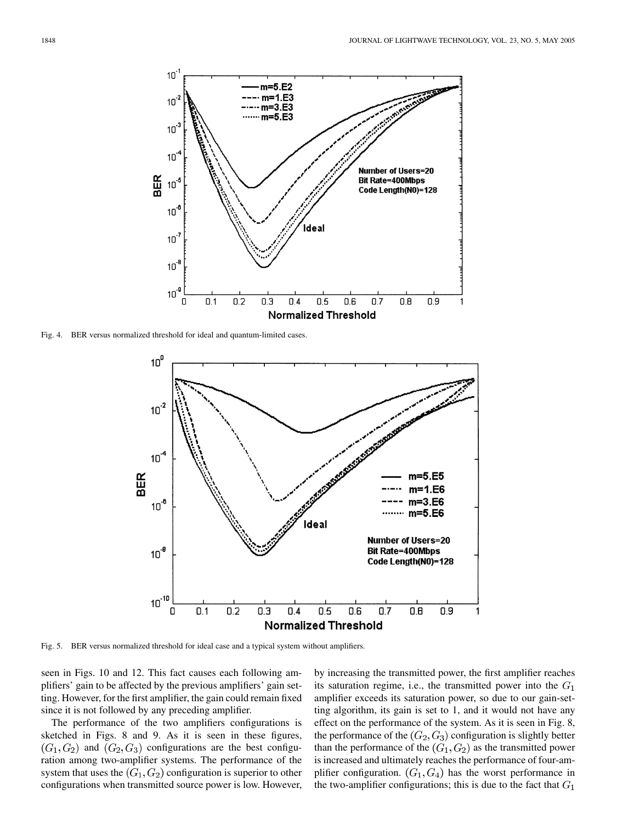

Fig. 4. BER versus normalized threshold for ideal and quantum-limited cases.



Fig. 5. BER versus normalized threshold for ideal case and a typical system without amplifiers.

seen in Figs. 10 and 12. This fact causes each following amplifiers' gain to be affected by the previous amplifiers' gain setting. However, for the first amplifier, the gain could remain fixed since it is not followed by any preceding amplifier.

The performance of the two amplifiers configurations is sketched in Figs. 8 and 9. As it is seen in these figures,  $(G_1, G_2)$  and  $(G_2, G_3)$  configurations are the best configuration among two-amplifier systems. The performance of the system that uses the  $(G_1, G_2)$  configuration is superior to other configurations when transmitted source power is low. However, by increasing the transmitted power, the first amplifier reaches its saturation regime, i.e., the transmitted power into the  $G_1$ amplifier exceeds its saturation power, so due to our gain-setting algorithm, its gain is set to 1, and it would not have any effect on the performance of the system. As it is seen in Fig. 8, the performance of the  $(G_2, G_3)$  configuration is slightly better than the performance of the  $(G_1, G_2)$  as the transmitted power is increased and ultimately reaches the performance of four-amplifier configuration.  $(G_1, G_4)$  has the worst performance in the two-amplifier configurations; this is due to the fact that  $G_1$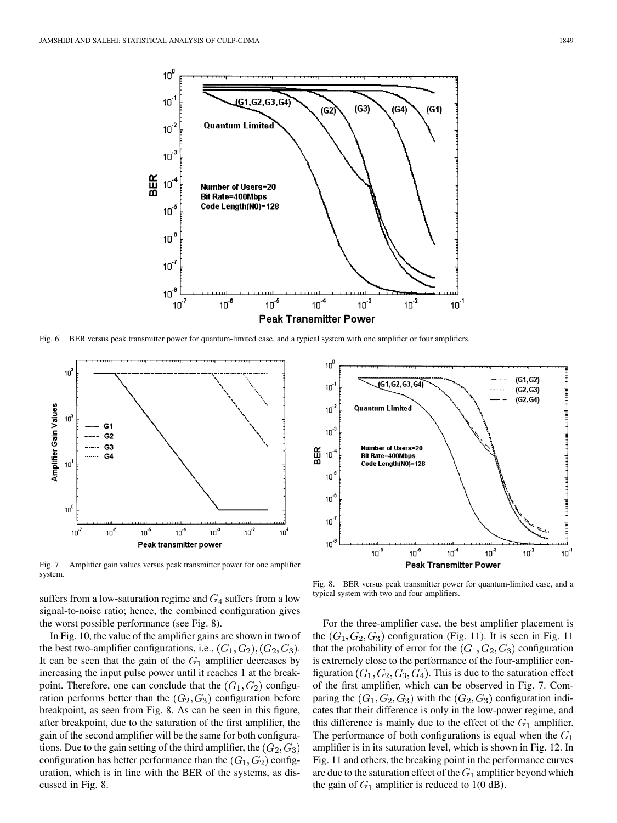

Fig. 6. BER versus peak transmitter power for quantum-limited case, and a typical system with one amplifier or four amplifiers.



Fig. 7. Amplifier gain values versus peak transmitter power for one amplifier system.

suffers from a low-saturation regime and  $G_4$  suffers from a low signal-to-noise ratio; hence, the combined configuration gives the worst possible performance (see Fig. 8).

In Fig. 10, the value of the amplifier gains are shown in two of the best two-amplifier configurations, i.e.,  $(G_1, G_2), (G_2, G_3)$ . It can be seen that the gain of the  $G_1$  amplifier decreases by increasing the input pulse power until it reaches 1 at the breakpoint. Therefore, one can conclude that the  $(G_1, G_2)$  configuration performs better than the  $(G_2, G_3)$  configuration before breakpoint, as seen from Fig. 8. As can be seen in this figure, after breakpoint, due to the saturation of the first amplifier, the gain of the second amplifier will be the same for both configurations. Due to the gain setting of the third amplifier, the  $(G_2, G_3)$ configuration has better performance than the  $(G_1, G_2)$  configuration, which is in line with the BER of the systems, as discussed in Fig. 8.



Fig. 8. BER versus peak transmitter power for quantum-limited case, and a typical system with two and four amplifiers.

For the three-amplifier case, the best amplifier placement is the  $(G_1, G_2, G_3)$  configuration (Fig. 11). It is seen in Fig. 11 that the probability of error for the  $(G_1, G_2, G_3)$  configuration is extremely close to the performance of the four-amplifier configuration  $(G_1, G_2, G_3, G_4)$ . This is due to the saturation effect of the first amplifier, which can be observed in Fig. 7. Comparing the  $(G_1, G_2, G_3)$  with the  $(G_2, G_3)$  configuration indicates that their difference is only in the low-power regime, and this difference is mainly due to the effect of the  $G_1$  amplifier. The performance of both configurations is equal when the  $G_1$ amplifier is in its saturation level, which is shown in Fig. 12. In Fig. 11 and others, the breaking point in the performance curves are due to the saturation effect of the  $G_1$  amplifier beyond which the gain of  $G_1$  amplifier is reduced to 1(0 dB).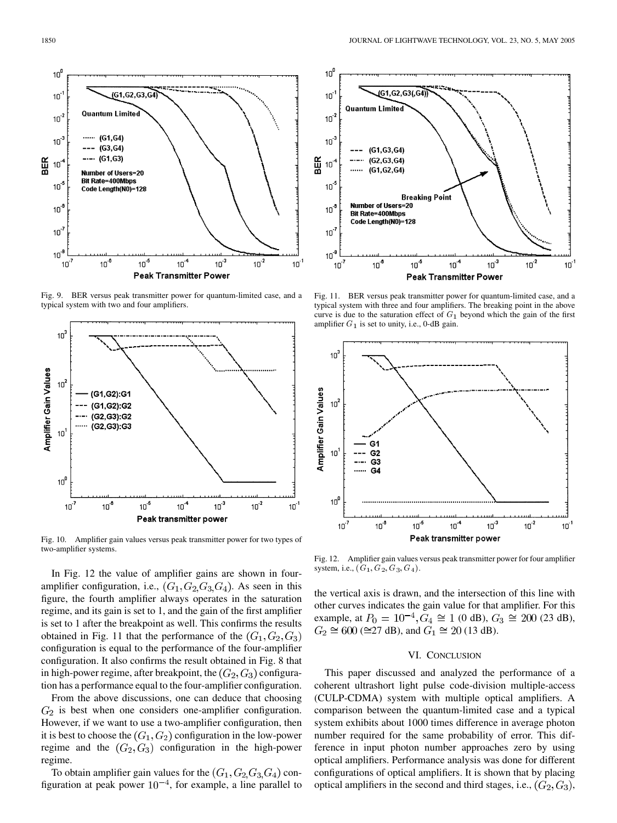

Fig. 9. BER versus peak transmitter power for quantum-limited case, and a typical system with two and four amplifiers.



Fig. 10. Amplifier gain values versus peak transmitter power for two types of two-amplifier systems.

In Fig. 12 the value of amplifier gains are shown in fouramplifier configuration, i.e.,  $(G_1, G_2, G_3, G_4)$ . As seen in this figure, the fourth amplifier always operates in the saturation regime, and its gain is set to 1, and the gain of the first amplifier is set to 1 after the breakpoint as well. This confirms the results obtained in Fig. 11 that the performance of the  $(G_1, G_2, G_3)$ configuration is equal to the performance of the four-amplifier configuration. It also confirms the result obtained in Fig. 8 that in high-power regime, after breakpoint, the  $(G_2, G_3)$  configuration has a performance equal to the four-amplifier configuration.

From the above discussions, one can deduce that choosing  $G_2$  is best when one considers one-amplifier configuration. However, if we want to use a two-amplifier configuration, then it is best to choose the  $(G_1, G_2)$  configuration in the low-power regime and the  $(G_2, G_3)$  configuration in the high-power regime.

To obtain amplifier gain values for the  $(G_1, G_2, G_3, G_4)$  configuration at peak power  $10^{-4}$ , for example, a line parallel to



Fig. 11. BER versus peak transmitter power for quantum-limited case, and a typical system with three and four amplifiers. The breaking point in the above curve is due to the saturation effect of  $G_1$  beyond which the gain of the first amplifier  $G_1$  is set to unity, i.e., 0-dB gain.



Fig. 12. Amplifier gain values versus peak transmitter power for four amplifier system, i.e.,  $(G_1, G_2, G_3, G_4)$ .

the vertical axis is drawn, and the intersection of this line with other curves indicates the gain value for that amplifier. For this example, at  $P_0 = 10^{-4}$ ,  $G_4 \cong 1$  (0 dB),  $G_3 \cong 200$  (23 dB),  $G_2 \cong 600 \, (\cong 27 \, \text{dB})$ , and  $G_1 \cong 20 \, (13 \, \text{dB})$ .

#### VI. CONCLUSION

This paper discussed and analyzed the performance of a coherent ultrashort light pulse code-division multiple-access (CULP-CDMA) system with multiple optical amplifiers. A comparison between the quantum-limited case and a typical system exhibits about 1000 times difference in average photon number required for the same probability of error. This difference in input photon number approaches zero by using optical amplifiers. Performance analysis was done for different configurations of optical amplifiers. It is shown that by placing optical amplifiers in the second and third stages, i.e.,  $(G_2, G_3)$ ,